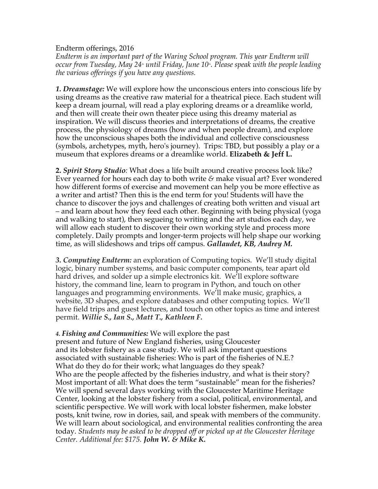Endterm offerings, 2016

*Endterm is an important part of the Waring School program. This year Endterm will occur from Tuesday, May 24<sup>\*</sup> until Friday, June 10<sup>\*</sup>. Please speak with the people leading the various offerings if you have any questions.*

*1. Dreamstage:* We will explore how the unconscious enters into conscious life by using dreams as the creative raw material for a theatrical piece. Each student will keep a dream journal, will read a play exploring dreams or a dreamlike world, and then will create their own theater piece using this dreamy material as inspiration. We will discuss theories and interpretations of dreams, the creative process, the physiology of dreams (how and when people dream), and explore how the unconscious shapes both the individual and collective consciousness (symbols, archetypes, myth, hero's journey). Trips: TBD, but possibly a play or a museum that explores dreams or a dreamlike world. **Elizabeth & Jeff L.**

**2.** *Spirit Story Studio:* What does a life built around creative process look like? Ever yearned for hours each day to both write *&* make visual art? Ever wondered how different forms of exercise and movement can help you be more effective as a writer and artist? Then this is the end term for you! Students will have the chance to discover the joys and challenges of creating both written and visual art – and learn about how they feed each other. Beginning with being physical (yoga and walking to start), then segueing to writing and the art studios each day, we will allow each student to discover their own working style and process more completely. Daily prompts and longer-term projects will help shape our working time, as will slideshows and trips off campus. *Gallaudet, KB, Audrey M.*

*3. Computing Endterm:* an exploration of Computing topics. We'll study digital logic, binary number systems, and basic computer components, tear apart old hard drives, and solder up a simple electronics kit. We'll explore software history, the command line, learn to program in Python, and touch on other languages and programming environments. We'll make music, graphics, a website, 3D shapes, and explore databases and other computing topics. We'll have field trips and guest lectures, and touch on other topics as time and interest permit. *Willie S., Ian S., Matt T., Kathleen F.*

## *4. Fishing and Communities:* We will explore the past

present and future of New England fisheries, using Gloucester and its lobster fishery as a case study. We will ask important questions associated with sustainable fisheries: Who is part of the fisheries of N.E.? What do they do for their work; what languages do they speak? Who are the people affected by the fisheries industry, and what is their story? Most important of all: What does the term "sustainable" mean for the fisheries? We will spend several days working with the Gloucester Maritime Heritage Center, looking at the lobster fishery from a social, political, environmental, and scientific perspective. We will work with local lobster fishermen, make lobster posts, knit twine, row in dories, sail, and speak with members of the community. We will learn about sociological, and environmental realities confronting the area today. *Students may be asked to be dropped off or picked up at the Gloucester Heritage Center. Additional fee: \$175. John W. & Mike K.*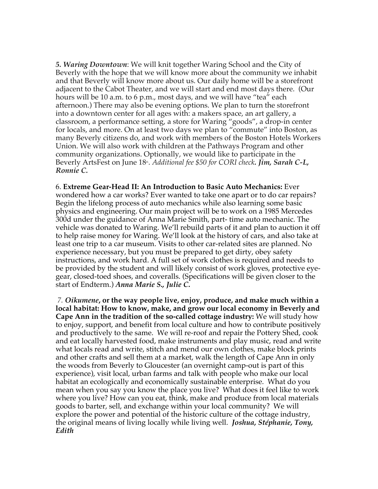*5. Waring Downtown*: We will knit together Waring School and the City of Beverly with the hope that we will know more about the community we inhabit and that Beverly will know more about us. Our daily home will be a storefront adjacent to the Cabot Theater, and we will start and end most days there. (Our hours will be 10 a.m. to 6 p.m., most days, and we will have "tea" each afternoon.) There may also be evening options. We plan to turn the storefront into a downtown center for all ages with: a makers space, an art gallery, a classroom, a performance setting, a store for Waring "goods", a drop-in center for locals, and more. On at least two days we plan to "commute" into Boston, as many Beverly citizens do, and work with members of the Boston Hotels Workers Union. We will also work with children at the Pathways Program and other community organizations. Optionally, we would like to participate in the Beverly ArtsFest on June 18<sup>th</sup>. *Additional fee* \$50 for CORI check. **Jim, Sarah C-L**, *Ronnie C.*

6. **Extreme Gear-Head II: An Introduction to Basic Auto Mechanics:** Ever wondered how a car works? Ever wanted to take one apart or to do car repairs? Begin the lifelong process of auto mechanics while also learning some basic physics and engineering. Our main project will be to work on a 1985 Mercedes 300d under the guidance of Anna Marie Smith, part- time auto mechanic. The vehicle was donated to Waring. We'll rebuild parts of it and plan to auction it off to help raise money for Waring. We'll look at the history of cars, and also take at least one trip to a car museum. Visits to other car-related sites are planned. No experience necessary, but you must be prepared to get dirty, obey safety instructions, and work hard. A full set of work clothes is required and needs to be provided by the student and will likely consist of work gloves, protective eyegear, closed-toed shoes, and coveralls. (Specifications will be given closer to the start of Endterm.) *Anna Marie S., Julie C.*

*7. Oikumene***, or the way people live, enjoy, produce, and make much within a local habitat: How to know, make, and grow our local economy in Beverly and Cape Ann in the tradition of the so-called cottage industry:** We will study how to enjoy, support, and benefit from local culture and how to contribute positively and productively to the same. We will re-roof and repair the Pottery Shed, cook and eat locally harvested food, make instruments and play music, read and write what locals read and write, stitch and mend our own clothes, make block prints and other crafts and sell them at a market, walk the length of Cape Ann in only the woods from Beverly to Gloucester (an overnight camp-out is part of this experience), visit local, urban farms and talk with people who make our local habitat an ecologically and economically sustainable enterprise. What do you mean when you say you know the place you live? What does it feel like to work where you live? How can you eat, think, make and produce from local materials goods to barter, sell, and exchange within your local community? We will explore the power and potential of the historic culture of the cottage industry, the original means of living locally while living well. *Joshua, Stéphanie, Tony, Edith*